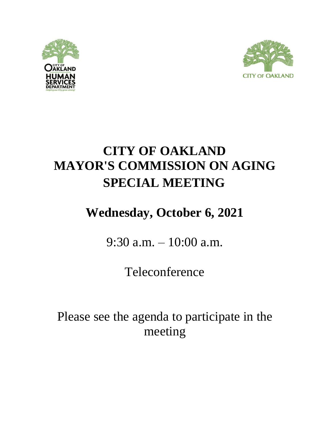



# **CITY OF OAKLAND MAYOR'S COMMISSION ON AGING SPECIAL MEETING**

# **Wednesday, October 6, 2021**

9:30 a.m. – 10:00 a.m.

Teleconference

Please see the agenda to participate in the meeting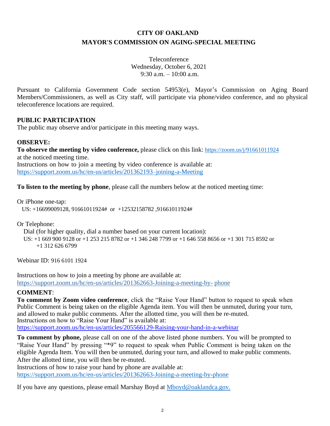### **CITY OF OAKLAND MAYOR'S COMMISSION ON AGING-SPECIAL MEETING**

Teleconference Wednesday, October 6, 2021 9:30 a.m.  $-10:00$  a.m.

Pursuant to California Government Code section 54953(e), Mayor's Commission on Aging Board Members/Commissioners, as well as City staff, will participate via phone/video conference, and no physical teleconference locations are required.

#### **PUBLIC PARTICIPATION**

The public may observe and/or participate in this meeting many ways.

#### **OBSERVE:**

**To observe the meeting by video conference,** please click on this link: <https://zoom.us/j/91661011924> at the noticed meeting time.

Instructions on how to join a meeting by video conference is available at: <https://support.zoom.us/hc/en-us/articles/201362193–joining-a-Meeting>

**To listen to the meeting by phone**, please call the numbers below at the noticed meeting time:

Or iPhone one-tap:

US: +16699009128, 91661011924# or +12532158782 ,91661011924#

Or Telephone:

Dial (for higher quality, dial a number based on your current location):

 US: +1 669 900 9128 or +1 253 215 8782 or +1 346 248 7799 or +1 646 558 8656 or +1 301 715 8592 or +1 312 626 6799

Webinar ID: 916 6101 1924

Instructions on how to join a meeting by phone are available at: [https://support.zoom.us/hc/en-us/articles/201362663-Joining-a-meeting-by-](https://support.zoom.us/hc/en-us/articles/201362663-Joining-a-meeting-by-phone) [phone](https://support.zoom.us/hc/en-us/articles/201362663-Joining-a-meeting-by-phone)

#### **COMMENT**:

**To comment by Zoom video conference**, click the "Raise Your Hand" button to request to speak when Public Comment is being taken on the eligible Agenda item. You will then be unmuted, during your turn, and allowed to make public comments. After the allotted time, you will then be re-muted. Instructions on how to "Raise Your Hand" is available at: <https://support.zoom.us/hc/en-us/articles/205566129-Raising-your-hand-in-a-webinar>

**To comment by phone,** please call on one of the above listed phone numbers. You will be prompted to "Raise Your Hand" by pressing "\*9" to request to speak when Public Comment is being taken on the eligible Agenda Item. You will then be unmuted, during your turn, and allowed to make public comments. After the allotted time, you will then be re-muted.

Instructions of how to raise your hand by phone are available at: <https://support.zoom.us/hc/en-us/articles/201362663-Joining-a-meeting-by-phone>

If you have any questions, please email Marshay Boyd at [Mboyd@oaklandca.gov.](mailto:Mboyd@oaklandca.gov.)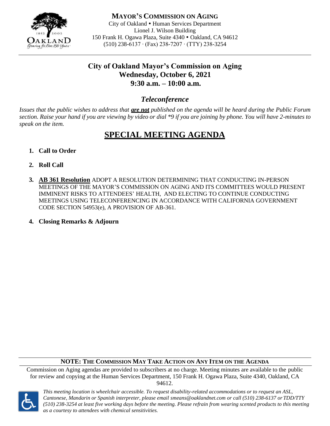

**MAYOR'S COMMISSION ON AGING** City of Oakland • Human Services Department Lionel J. Wilson Building 150 Frank H. Ogawa Plaza, Suite 4340 • Oakland, CA 94612 (510) 238-6137 ∙ (Fax) 238-7207 ∙ (TTY) 238-3254

## **City of Oakland Mayor's Commission on Aging Wednesday, October 6, 2021 9:30 a.m. – 10:00 a.m.**

### *Teleconference*

*Issues that the public wishes to address that are not published on the agenda will be heard during the Public Forum section. Raise your hand if you are viewing by video or dial \*9 if you are joining by phone. You will have 2-minutes to speak on the item.*

## **SPECIAL MEETING AGENDA**

- **1. Call to Order**
- **2. Roll Call**
- **3. AB 361 Resolution** ADOPT A RESOLUTION DETERMINING THAT CONDUCTING IN-PERSON MEETINGS OF THE MAYOR'S COMMISSION ON AGING AND ITS COMMITTEES WOULD PRESENT IMMINENT RISKS TO ATTENDEES' HEALTH, AND ELECTING TO CONTINUE CONDUCTING MEETINGS USING TELECONFERENCING IN ACCORDANCE WITH CALIFORNIA GOVERNMENT CODE SECTION 54953(e), A PROVISION OF AB-361.
- **4. Closing Remarks & Adjourn**

#### **NOTE: THE COMMISSION MAY TAKE ACTION ON ANY ITEM ON THE AGENDA**

Commission on Aging agendas are provided to subscribers at no charge. Meeting minutes are available to the public for review and copying at the Human Services Department, 150 Frank H. Ogawa Plaza, Suite 4340, Oakland, CA 94612.



*This meeting location is wheelchair accessible. To request disability-related accommodations or to request an ASL, Cantonese, Mandarin or Spanish interpreter, please email [smeans@oaklandnet.com o](mailto:smeans@oaklandnet.com)r call (510) 238-6137 or TDD/TTY (510) 238-3254 at least five working days before the meeting. Please refrain from wearing scented products to this meeting as a courtesy to attendees with chemical sensitivities.*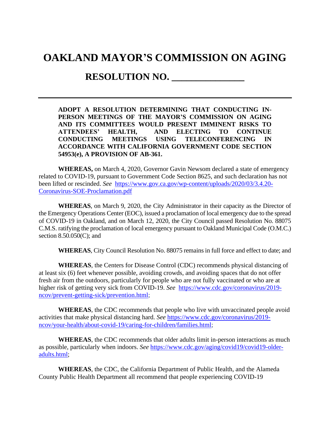## **OAKLAND MAYOR'S COMMISSION ON AGING**

## **RESOLUTION NO. \_\_\_\_\_\_\_\_\_\_\_\_\_\_\_**

**ADOPT A RESOLUTION DETERMINING THAT CONDUCTING IN-PERSON MEETINGS OF THE MAYOR'S COMMISSION ON AGING AND ITS COMMITTEES WOULD PRESENT IMMINENT RISKS TO ATTENDEES' HEALTH, AND ELECTING TO CONTINUE CONDUCTING MEETINGS USING TELECONFERENCING IN ACCORDANCE WITH CALIFORNIA GOVERNMENT CODE SECTION 54953(e), A PROVISION OF AB-361.**

**WHEREAS,** on March 4, 2020, Governor Gavin Newsom declared a state of emergency related to COVID-19, pursuant to Government Code Section 8625, and such declaration has not been lifted or rescinded. *See* [https://www.gov.ca.gov/wp-content/uploads/2020/03/3.4.20-](https://www.gov.ca.gov/wp-content/uploads/2020/03/3.4.20-Coronavirus-SOE-Proclamation.pdf) [Coronavirus-SOE-Proclamation.pdf](https://www.gov.ca.gov/wp-content/uploads/2020/03/3.4.20-Coronavirus-SOE-Proclamation.pdf)

**WHEREAS**, on March 9, 2020, the City Administrator in their capacity as the Director of the Emergency Operations Center (EOC), issued a proclamation of local emergency due to the spread of COVID-19 in Oakland, and on March 12, 2020, the City Council passed Resolution No. 88075 C.M.S. ratifying the proclamation of local emergency pursuant to Oakland Municipal Code (O.M.C.) section 8.50.050(C); and

**WHEREAS**, City Council Resolution No. 88075 remains in full force and effect to date; and

**WHEREAS**, the Centers for Disease Control (CDC) recommends physical distancing of at least six (6) feet whenever possible, avoiding crowds, and avoiding spaces that do not offer fresh air from the outdoors, particularly for people who are not fully vaccinated or who are at higher risk of getting very sick from COVID-19. *See* [https://www.cdc.gov/coronavirus/2019](https://www.cdc.gov/coronavirus/2019-ncov/prevent-getting-sick/prevention.html) [ncov/prevent-getting-sick/prevention.html;](https://www.cdc.gov/coronavirus/2019-ncov/prevent-getting-sick/prevention.html)

**WHEREAS**, the CDC recommends that people who live with unvaccinated people avoid activities that make physical distancing hard. *See* [https://www.cdc.gov/coronavirus/2019](https://www.cdc.gov/coronavirus/2019-ncov/your-health/about-covid-19/caring-for-children/families.html) [ncov/your-health/about-covid-19/caring-for-children/families.html;](https://www.cdc.gov/coronavirus/2019-ncov/your-health/about-covid-19/caring-for-children/families.html)

**WHEREAS**, the CDC recommends that older adults limit in-person interactions as much as possible, particularly when indoors. *See* [https://www.cdc.gov/aging/covid19/covid19-older](https://www.cdc.gov/aging/covid19/covid19-older-adults.html)[adults.html;](https://www.cdc.gov/aging/covid19/covid19-older-adults.html)

**WHEREAS**, the CDC, the California Department of Public Health, and the Alameda County Public Health Department all recommend that people experiencing COVID-19